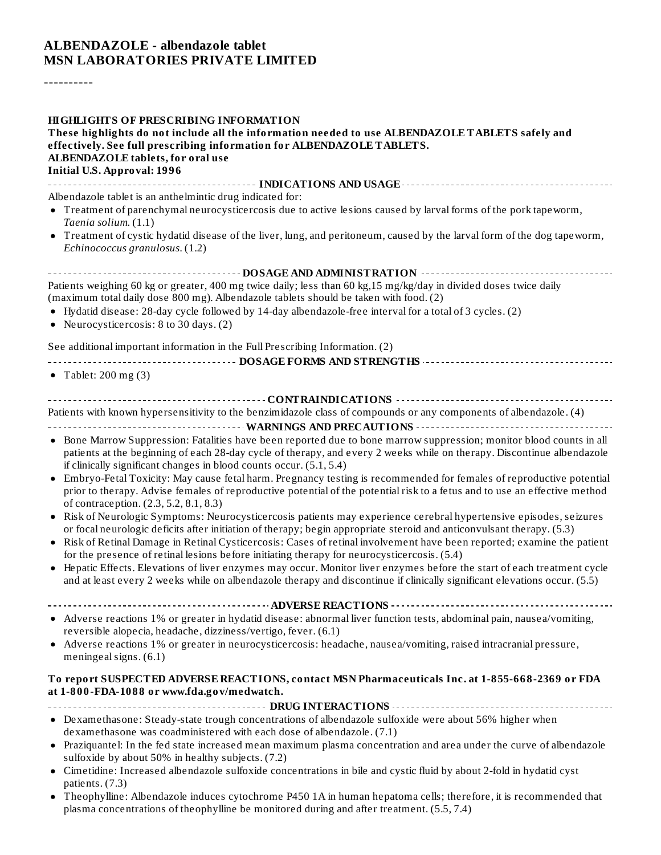#### **ALBENDAZOLE - albendazole tablet MSN LABORATORIES PRIVATE LIMITED**

----------

| <b>HIGHLIGHTS OF PRESCRIBING INFORMATION</b><br>These highlights do not include all the information needed to use ALBENDAZOLE TABLETS safely and<br>effectively. See full prescribing information for ALBENDAZOLE TABLETS.<br>ALBENDAZOLE tablets, for oral use<br><b>Initial U.S. Approval: 1996</b>                                                                                                                                                                                                                                                                                                                                                                                                                                                                                                                                                                                                                                                                                                                                                                                                                  |
|------------------------------------------------------------------------------------------------------------------------------------------------------------------------------------------------------------------------------------------------------------------------------------------------------------------------------------------------------------------------------------------------------------------------------------------------------------------------------------------------------------------------------------------------------------------------------------------------------------------------------------------------------------------------------------------------------------------------------------------------------------------------------------------------------------------------------------------------------------------------------------------------------------------------------------------------------------------------------------------------------------------------------------------------------------------------------------------------------------------------|
|                                                                                                                                                                                                                                                                                                                                                                                                                                                                                                                                                                                                                                                                                                                                                                                                                                                                                                                                                                                                                                                                                                                        |
| Albendazole tablet is an anthelmintic drug indicated for:<br>• Treatment of parenchymal neurocysticercosis due to active lesions caused by larval forms of the pork tapeworm,<br>Taenia solium. (1.1)                                                                                                                                                                                                                                                                                                                                                                                                                                                                                                                                                                                                                                                                                                                                                                                                                                                                                                                  |
| • Treatment of cystic hydatid disease of the liver, lung, and peritoneum, caused by the larval form of the dog tapeworm,<br>Echinococcus granulosus. (1.2)                                                                                                                                                                                                                                                                                                                                                                                                                                                                                                                                                                                                                                                                                                                                                                                                                                                                                                                                                             |
| ------------------------------------- DOSAGE AND ADMINISTRATION ----------------------                                                                                                                                                                                                                                                                                                                                                                                                                                                                                                                                                                                                                                                                                                                                                                                                                                                                                                                                                                                                                                 |
| Patients weighing 60 kg or greater, 400 mg twice daily; less than 60 kg,15 mg/kg/day in divided doses twice daily<br>(maximum total daily dose 800 mg). Albendazole tablets should be taken with food. (2)<br>• Hydatid disease: 28-day cycle followed by 14-day albendazole-free interval for a total of 3 cycles. (2)                                                                                                                                                                                                                                                                                                                                                                                                                                                                                                                                                                                                                                                                                                                                                                                                |
| • Neurocysticercosis: 8 to 30 days. (2)                                                                                                                                                                                                                                                                                                                                                                                                                                                                                                                                                                                                                                                                                                                                                                                                                                                                                                                                                                                                                                                                                |
| See additional important information in the Full Prescribing Information. (2)                                                                                                                                                                                                                                                                                                                                                                                                                                                                                                                                                                                                                                                                                                                                                                                                                                                                                                                                                                                                                                          |
|                                                                                                                                                                                                                                                                                                                                                                                                                                                                                                                                                                                                                                                                                                                                                                                                                                                                                                                                                                                                                                                                                                                        |
| • Tablet: $200 \text{ mg} (3)$                                                                                                                                                                                                                                                                                                                                                                                                                                                                                                                                                                                                                                                                                                                                                                                                                                                                                                                                                                                                                                                                                         |
| Patients with known hypersensitivity to the benzimidazole class of compounds or any components of albendazole. (4)<br>• Bone Marrow Suppression: Fatalities have been reported due to bone marrow suppression; monitor blood counts in all<br>patients at the beginning of each 28-day cycle of therapy, and every 2 weeks while on therapy. Discontinue albendazole<br>if clinically significant changes in blood counts occur. (5.1, 5.4)<br>• Embryo-Fetal Toxicity: May cause fetal harm. Pregnancy testing is recommended for females of reproductive potential<br>prior to therapy. Advise females of reproductive potential of the potential risk to a fetus and to use an effective method<br>of contraception. (2.3, 5.2, 8.1, 8.3)<br>• Risk of Neurologic Symptoms: Neurocysticercosis patients may experience cerebral hypertensive episodes, seizures<br>or focal neurologic deficits after initiation of therapy; begin appropriate steroid and anticonvulsant therapy. (5.3)<br>• Risk of Retinal Damage in Retinal Cysticercosis: Cases of retinal involvement have been reported; examine the patient |
| for the presence of retinal lesions before initiating therapy for neurocysticercosis. (5.4)<br>• Hepatic Effects. Elevations of liver enzymes may occur. Monitor liver enzymes before the start of each treatment cycle<br>and at least every 2 weeks while on albendazole therapy and discontinue if clinically significant elevations occur. (5.5)                                                                                                                                                                                                                                                                                                                                                                                                                                                                                                                                                                                                                                                                                                                                                                   |
|                                                                                                                                                                                                                                                                                                                                                                                                                                                                                                                                                                                                                                                                                                                                                                                                                                                                                                                                                                                                                                                                                                                        |
| • Adverse reactions 1% or greater in hydatid disease: abnormal liver function tests, abdominal pain, nausea/vomiting,<br>reversible alopecia, headache, dizziness/vertigo, fever. (6.1)                                                                                                                                                                                                                                                                                                                                                                                                                                                                                                                                                                                                                                                                                                                                                                                                                                                                                                                                |
| • Adverse reactions 1% or greater in neurocysticercosis: headache, nausea/vomiting, raised intracranial pressure,<br>meningeal signs. (6.1)                                                                                                                                                                                                                                                                                                                                                                                                                                                                                                                                                                                                                                                                                                                                                                                                                                                                                                                                                                            |
| To report SUSPECTED ADVERSE REACTIONS, contact MSN Pharmaceuticals Inc. at 1-855-668-2369 or FDA<br>at 1-800-FDA-1088 or www.fda.gov/medwatch.                                                                                                                                                                                                                                                                                                                                                                                                                                                                                                                                                                                                                                                                                                                                                                                                                                                                                                                                                                         |
| • Dexamethasone: Steady-state trough concentrations of albendazole sulfoxide were about 56% higher when<br>dexamethasone was coadministered with each dose of albendazole. (7.1)                                                                                                                                                                                                                                                                                                                                                                                                                                                                                                                                                                                                                                                                                                                                                                                                                                                                                                                                       |
| • Praziquantel: In the fed state increased mean maximum plasma concentration and area under the curve of albendazole<br>sulfoxide by about 50% in healthy subjects. (7.2)                                                                                                                                                                                                                                                                                                                                                                                                                                                                                                                                                                                                                                                                                                                                                                                                                                                                                                                                              |
| • Cimetidine: Increased albendazole sulfoxide concentrations in bile and cystic fluid by about 2-fold in hydatid cyst<br>patients. (7.3)                                                                                                                                                                                                                                                                                                                                                                                                                                                                                                                                                                                                                                                                                                                                                                                                                                                                                                                                                                               |

Theophylline: Albendazole induces cytochrome P450 1A in human hepatoma cells; therefore, it is recommended that plasma concentrations of theophylline be monitored during and after treatment. (5.5, 7.4)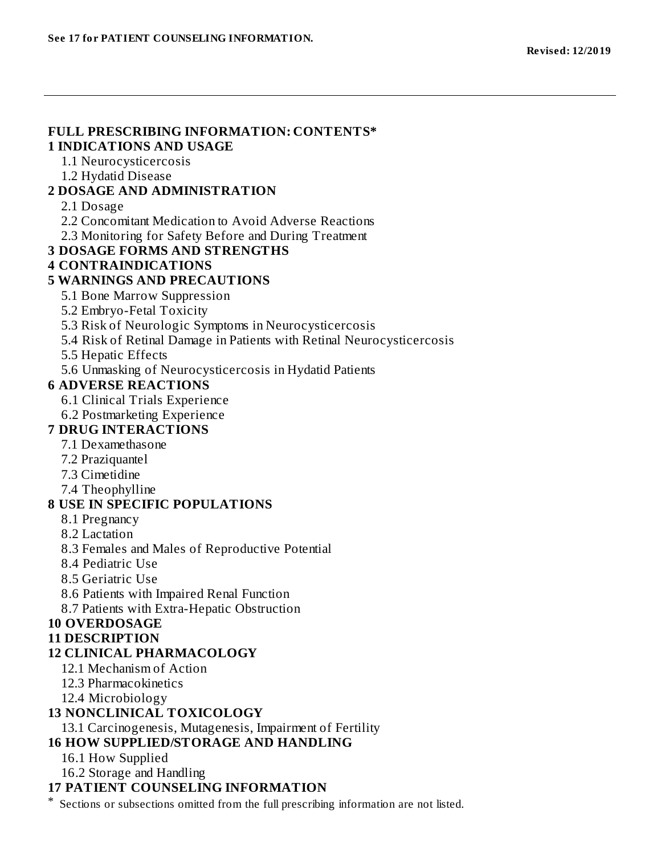#### **FULL PRESCRIBING INFORMATION: CONTENTS\* 1 INDICATIONS AND USAGE**

- 1.1 Neurocysticercosis
- 1.2 Hydatid Disease

### **2 DOSAGE AND ADMINISTRATION**

#### 2.1 Dosage

- 2.2 Concomitant Medication to Avoid Adverse Reactions
- 2.3 Monitoring for Safety Before and During Treatment

### **3 DOSAGE FORMS AND STRENGTHS**

**4 CONTRAINDICATIONS**

### **5 WARNINGS AND PRECAUTIONS**

- 5.1 Bone Marrow Suppression
- 5.2 Embryo-Fetal Toxicity
- 5.3 Risk of Neurologic Symptoms in Neurocysticercosis
- 5.4 Risk of Retinal Damage in Patients with Retinal Neurocysticercosis
- 5.5 Hepatic Effects
- 5.6 Unmasking of Neurocysticercosis in Hydatid Patients

### **6 ADVERSE REACTIONS**

- 6.1 Clinical Trials Experience
- 6.2 Postmarketing Experience

### **7 DRUG INTERACTIONS**

- 7.1 Dexamethasone
- 7.2 Praziquantel
- 7.3 Cimetidine
- 7.4 Theophylline

### **8 USE IN SPECIFIC POPULATIONS**

- 8.1 Pregnancy
- 8.2 Lactation
- 8.3 Females and Males of Reproductive Potential
- 8.4 Pediatric Use
- 8.5 Geriatric Use
- 8.6 Patients with Impaired Renal Function
- 8.7 Patients with Extra-Hepatic Obstruction

### **10 OVERDOSAGE**

### **11 DESCRIPTION**

### **12 CLINICAL PHARMACOLOGY**

- 12.1 Mechanism of Action
- 12.3 Pharmacokinetics
- 12.4 Microbiology

### **13 NONCLINICAL TOXICOLOGY**

13.1 Carcinogenesis, Mutagenesis, Impairment of Fertility

# **16 HOW SUPPLIED/STORAGE AND HANDLING**

- 16.1 How Supplied
- 16.2 Storage and Handling

## **17 PATIENT COUNSELING INFORMATION**

\* Sections or subsections omitted from the full prescribing information are not listed.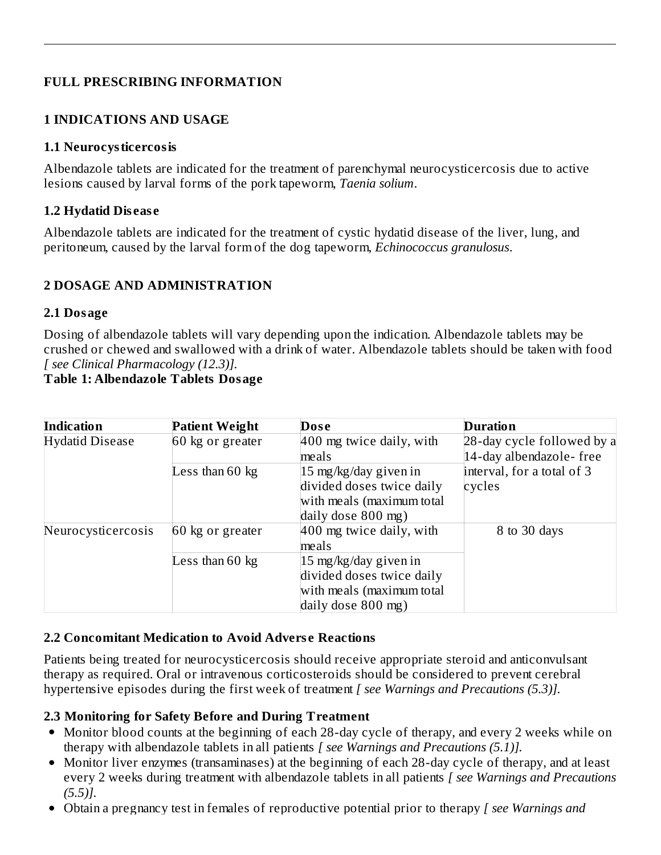### **FULL PRESCRIBING INFORMATION**

#### **1 INDICATIONS AND USAGE**

#### **1.1 Neurocysticercosis**

Albendazole tablets are indicated for the treatment of parenchymal neurocysticercosis due to active lesions caused by larval forms of the pork tapeworm, *Taenia solium*.

#### **1.2 Hydatid Dis eas e**

Albendazole tablets are indicated for the treatment of cystic hydatid disease of the liver, lung, and peritoneum, caused by the larval form of the dog tapeworm, *Echinococcus granulosus*.

### **2 DOSAGE AND ADMINISTRATION**

#### **2.1 Dosage**

Dosing of albendazole tablets will vary depending upon the indication. Albendazole tablets may be crushed or chewed and swallowed with a drink of water. Albendazole tablets should be taken with food *[ see Clinical Pharmacology (12.3)].*

### **Table 1: Albendazole Tablets Dosage**

| <b>Indication</b>      | <b>Patient Weight</b>     | Dose                      | <b>Duration</b>            |
|------------------------|---------------------------|---------------------------|----------------------------|
| <b>Hydatid Disease</b> | 60 kg or greater          | 400 mg twice daily, with  | 28-day cycle followed by a |
|                        |                           | meals                     | 14-day albendazole-free    |
|                        | Less than $60 \text{ kg}$ | 15 mg/kg/day given in     | interval, for a total of 3 |
|                        |                           | divided doses twice daily | cycles                     |
|                        |                           | with meals (maximum total |                            |
|                        |                           | daily dose 800 mg)        |                            |
| Neurocysticercosis     | 60 kg or greater          | 400 mg twice daily, with  | 8 to 30 days               |
|                        |                           | meals                     |                            |
|                        | Less than $60 \text{ kg}$ | 15 mg/kg/day given in     |                            |
|                        |                           | divided doses twice daily |                            |
|                        |                           | with meals (maximum total |                            |
|                        |                           | daily dose $800$ mg)      |                            |

### **2.2 Concomitant Medication to Avoid Advers e Reactions**

Patients being treated for neurocysticercosis should receive appropriate steroid and anticonvulsant therapy as required. Oral or intravenous corticosteroids should be considered to prevent cerebral hypertensive episodes during the first week of treatment *[ see Warnings and Precautions (5.3)].*

### **2.3 Monitoring for Safety Before and During Treatment**

- Monitor blood counts at the beginning of each 28-day cycle of therapy, and every 2 weeks while on therapy with albendazole tablets in all patients *[ see Warnings and Precautions (5.1)].*
- Monitor liver enzymes (transaminases) at the beginning of each 28-day cycle of therapy, and at least every 2 weeks during treatment with albendazole tablets in all patients *[ see Warnings and Precautions (5.5)].*
- Obtain a pregnancy test in females of reproductive potential prior to therapy *[ see Warnings and*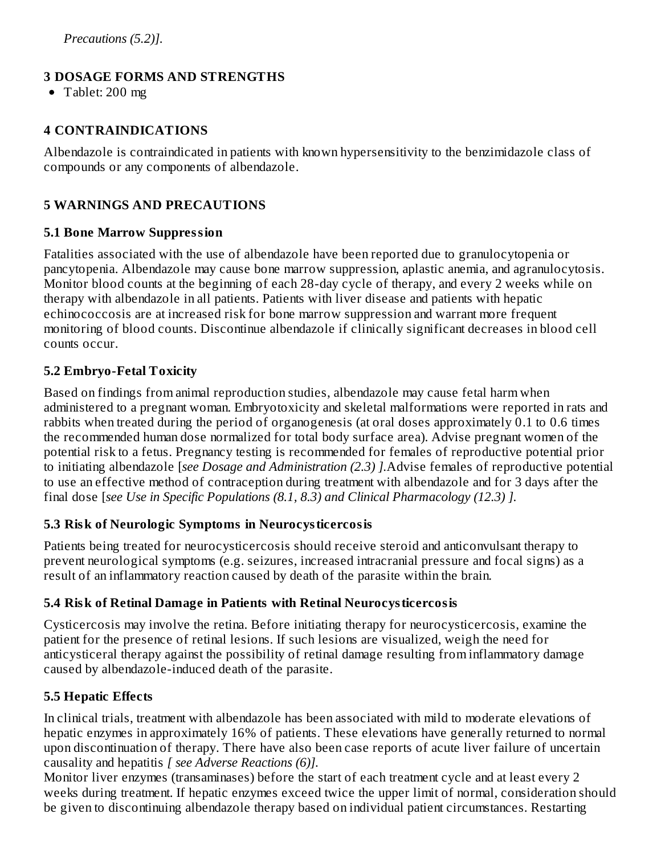## **3 DOSAGE FORMS AND STRENGTHS**

• Tablet: 200 mg

## **4 CONTRAINDICATIONS**

Albendazole is contraindicated in patients with known hypersensitivity to the benzimidazole class of compounds or any components of albendazole.

## **5 WARNINGS AND PRECAUTIONS**

### **5.1 Bone Marrow Suppression**

Fatalities associated with the use of albendazole have been reported due to granulocytopenia or pancytopenia. Albendazole may cause bone marrow suppression, aplastic anemia, and agranulocytosis. Monitor blood counts at the beginning of each 28-day cycle of therapy, and every 2 weeks while on therapy with albendazole in all patients. Patients with liver disease and patients with hepatic echinococcosis are at increased risk for bone marrow suppression and warrant more frequent monitoring of blood counts. Discontinue albendazole if clinically significant decreases in blood cell counts occur.

### **5.2 Embryo-Fetal Toxicity**

Based on findings from animal reproduction studies, albendazole may cause fetal harm when administered to a pregnant woman. Embryotoxicity and skeletal malformations were reported in rats and rabbits when treated during the period of organogenesis (at oral doses approximately 0.1 to 0.6 times the recommended human dose normalized for total body surface area). Advise pregnant women of the potential risk to a fetus. Pregnancy testing is recommended for females of reproductive potential prior to initiating albendazole [*see Dosage and Administration (2.3) ].*Advise females of reproductive potential to use an effective method of contraception during treatment with albendazole and for 3 days after the final dose [*see Use in Specific Populations (8.1, 8.3) and Clinical Pharmacology (12.3) ].*

### **5.3 Risk of Neurologic Symptoms in Neurocysticercosis**

Patients being treated for neurocysticercosis should receive steroid and anticonvulsant therapy to prevent neurological symptoms (e.g. seizures, increased intracranial pressure and focal signs) as a result of an inflammatory reaction caused by death of the parasite within the brain.

### **5.4 Risk of Retinal Damage in Patients with Retinal Neurocysticercosis**

Cysticercosis may involve the retina. Before initiating therapy for neurocysticercosis, examine the patient for the presence of retinal lesions. If such lesions are visualized, weigh the need for anticysticeral therapy against the possibility of retinal damage resulting from inflammatory damage caused by albendazole-induced death of the parasite.

## **5.5 Hepatic Effects**

In clinical trials, treatment with albendazole has been associated with mild to moderate elevations of hepatic enzymes in approximately 16% of patients. These elevations have generally returned to normal upon discontinuation of therapy. There have also been case reports of acute liver failure of uncertain causality and hepatitis *[ see Adverse Reactions (6)].*

Monitor liver enzymes (transaminases) before the start of each treatment cycle and at least every 2 weeks during treatment. If hepatic enzymes exceed twice the upper limit of normal, consideration should be given to discontinuing albendazole therapy based on individual patient circumstances. Restarting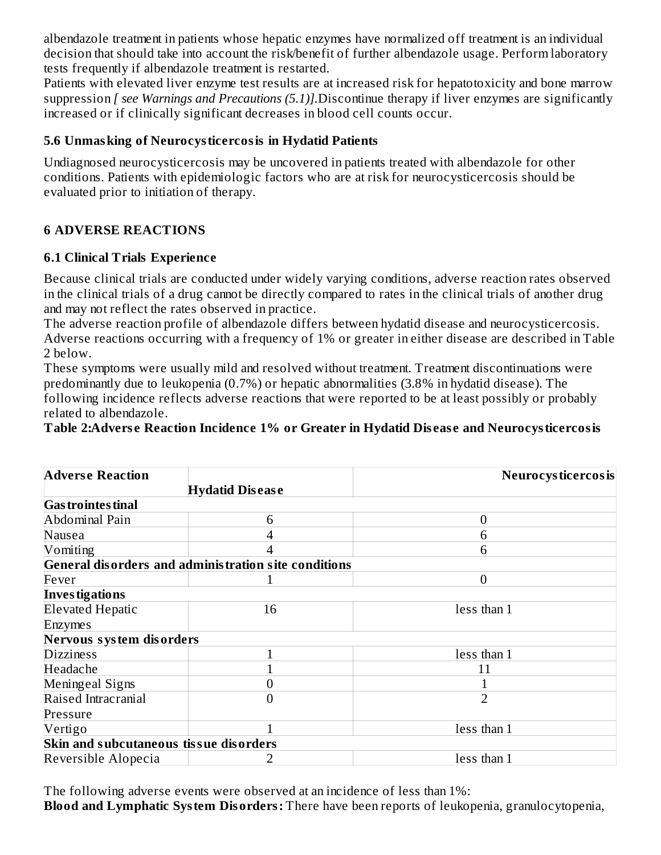albendazole treatment in patients whose hepatic enzymes have normalized off treatment is an individual decision that should take into account the risk/benefit of further albendazole usage. Perform laboratory tests frequently if albendazole treatment is restarted.

Patients with elevated liver enzyme test results are at increased risk for hepatotoxicity and bone marrow suppression *[ see Warnings and Precautions (5.1)].*Discontinue therapy if liver enzymes are significantly increased or if clinically significant decreases in blood cell counts occur.

### **5.6 Unmasking of Neurocysticercosis in Hydatid Patients**

Undiagnosed neurocysticercosis may be uncovered in patients treated with albendazole for other conditions. Patients with epidemiologic factors who are at risk for neurocysticercosis should be evaluated prior to initiation of therapy.

### **6 ADVERSE REACTIONS**

### **6.1 Clinical Trials Experience**

Because clinical trials are conducted under widely varying conditions, adverse reaction rates observed in the clinical trials of a drug cannot be directly compared to rates in the clinical trials of another drug and may not reflect the rates observed in practice.

The adverse reaction profile of albendazole differs between hydatid disease and neurocysticercosis. Adverse reactions occurring with a frequency of 1% or greater in either disease are described in Table 2 below.

These symptoms were usually mild and resolved without treatment. Treatment discontinuations were predominantly due to leukopenia (0.7%) or hepatic abnormalities (3.8% in hydatid disease). The following incidence reflects adverse reactions that were reported to be at least possibly or probably related to albendazole.

**Table 2:Advers e Reaction Incidence 1% or Greater in Hydatid Dis eas e and Neurocysticercosis**

| <b>Adverse Reaction</b>                |                                                      | Neurocysticercosis |
|----------------------------------------|------------------------------------------------------|--------------------|
|                                        | <b>Hydatid Disease</b>                               |                    |
| <b>Gas trointes tinal</b>              |                                                      |                    |
| Abdominal Pain                         | 6                                                    | 0                  |
| Nausea                                 |                                                      | 6                  |
| Vomiting                               |                                                      | 6                  |
|                                        | General disorders and administration site conditions |                    |
| Fever                                  |                                                      | $\Omega$           |
| <b>Investigations</b>                  |                                                      |                    |
| <b>Elevated Hepatic</b>                | 16                                                   | less than 1        |
| Enzymes                                |                                                      |                    |
| Nervous system disorders               |                                                      |                    |
| <b>Dizziness</b>                       |                                                      | less than 1        |
| Headache                               |                                                      | 11                 |
| Meningeal Signs                        |                                                      |                    |
| Raised Intracranial                    | 0                                                    | $\overline{2}$     |
| Pressure                               |                                                      |                    |
| Vertigo                                |                                                      | less than 1        |
| Skin and subcutaneous tissue disorders |                                                      |                    |
| Reversible Alopecia                    |                                                      | less than 1        |

The following adverse events were observed at an incidence of less than 1%:

**Blood and Lymphatic System Disorders:** There have been reports of leukopenia, granulocytopenia,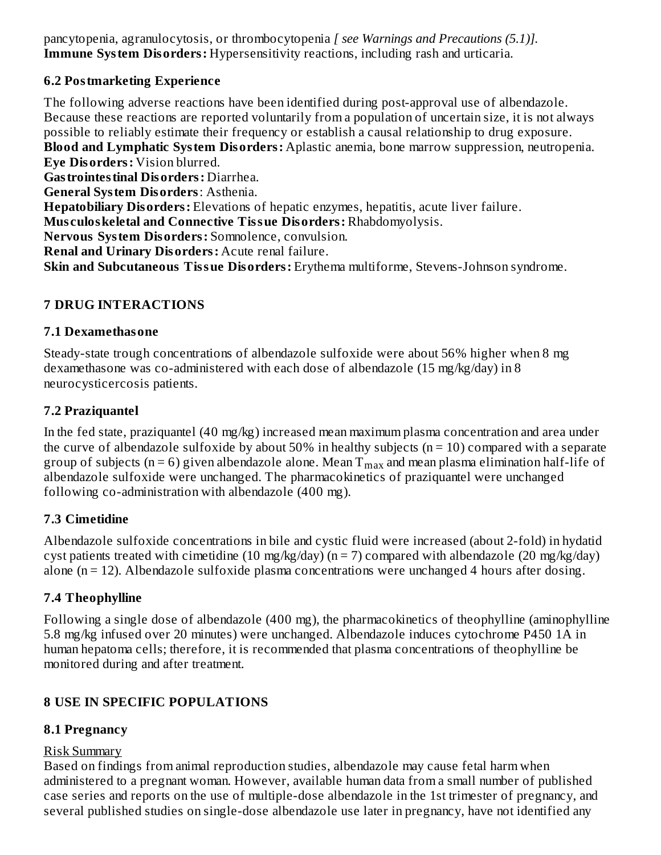pancytopenia, agranulocytosis, or thrombocytopenia *[ see Warnings and Precautions (5.1)].* **Immune System Disorders:** Hypersensitivity reactions, including rash and urticaria.

### **6.2 Postmarketing Experience**

The following adverse reactions have been identified during post-approval use of albendazole. Because these reactions are reported voluntarily from a population of uncertain size, it is not always possible to reliably estimate their frequency or establish a causal relationship to drug exposure. **Blood and Lymphatic System Disorders:** Aplastic anemia, bone marrow suppression, neutropenia. **Eye Disorders:** Vision blurred. **Gastrointestinal Disorders:** Diarrhea. **General System Disorders**: Asthenia. **Hepatobiliary Disorders:** Elevations of hepatic enzymes, hepatitis, acute liver failure. **Mus culoskeletal and Connective Tissue Disorders:** Rhabdomyolysis. **Nervous System Disorders:** Somnolence, convulsion. **Renal and Urinary Disorders:** Acute renal failure. **Skin and Subcutaneous Tissue Disorders:** Erythema multiforme, Stevens-Johnson syndrome.

### **7 DRUG INTERACTIONS**

### **7.1 Dexamethasone**

Steady-state trough concentrations of albendazole sulfoxide were about 56% higher when 8 mg dexamethasone was co-administered with each dose of albendazole (15 mg/kg/day) in 8 neurocysticercosis patients.

### **7.2 Praziquantel**

In the fed state, praziquantel (40 mg/kg) increased mean maximum plasma concentration and area under the curve of albendazole sulfoxide by about 50% in healthy subjects ( $n = 10$ ) compared with a separate group of subjects (n = 6) given albendazole alone. Mean  $\rm T_{max}$  and mean plasma elimination half-life of albendazole sulfoxide were unchanged. The pharmacokinetics of praziquantel were unchanged following co-administration with albendazole (400 mg).

### **7.3 Cimetidine**

Albendazole sulfoxide concentrations in bile and cystic fluid were increased (about 2-fold) in hydatid cyst patients treated with cimetidine (10 mg/kg/day) ( $n = 7$ ) compared with albendazole (20 mg/kg/day) alone  $(n = 12)$ . Albendazole sulfoxide plasma concentrations were unchanged 4 hours after dosing.

### **7.4 Theophylline**

Following a single dose of albendazole (400 mg), the pharmacokinetics of theophylline (aminophylline 5.8 mg/kg infused over 20 minutes) were unchanged. Albendazole induces cytochrome P450 1A in human hepatoma cells; therefore, it is recommended that plasma concentrations of theophylline be monitored during and after treatment.

### **8 USE IN SPECIFIC POPULATIONS**

### **8.1 Pregnancy**

### Risk Summary

Based on findings from animal reproduction studies, albendazole may cause fetal harm when administered to a pregnant woman. However, available human data from a small number of published case series and reports on the use of multiple-dose albendazole in the 1st trimester of pregnancy, and several published studies on single-dose albendazole use later in pregnancy, have not identified any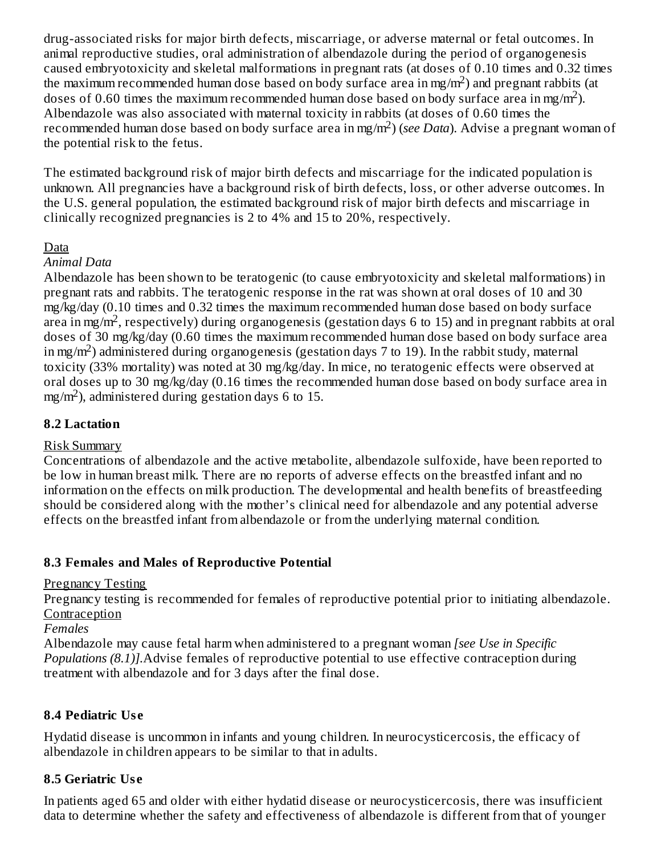drug-associated risks for major birth defects, miscarriage, or adverse maternal or fetal outcomes. In animal reproductive studies, oral administration of albendazole during the period of organogenesis caused embryotoxicity and skeletal malformations in pregnant rats (at doses of 0.10 times and 0.32 times the maximum recommended human dose based on body surface area in mg/m<sup>2</sup>) and pregnant rabbits (at doses of 0.60 times the maximum recommended human dose based on body surface area in mg/m<sup>2</sup>). Albendazole was also associated with maternal toxicity in rabbits (at doses of 0.60 times the recommended human dose based on body surface area in mg/m<sup>2</sup>) (*see Data*). Advise a pregnant woman of the potential risk to the fetus.

The estimated background risk of major birth defects and miscarriage for the indicated population is unknown. All pregnancies have a background risk of birth defects, loss, or other adverse outcomes. In the U.S. general population, the estimated background risk of major birth defects and miscarriage in clinically recognized pregnancies is 2 to 4% and 15 to 20%, respectively.

#### Data

#### *Animal Data*

Albendazole has been shown to be teratogenic (to cause embryotoxicity and skeletal malformations) in pregnant rats and rabbits. The teratogenic response in the rat was shown at oral doses of 10 and 30 mg/kg/day (0.10 times and 0.32 times the maximum recommended human dose based on body surface area in mg/m<sup>2</sup>, respectively) during organogenesis (gestation days 6 to 15) and in pregnant rabbits at oral doses of 30 mg/kg/day (0.60 times the maximum recommended human dose based on body surface area in mg/m<sup>2</sup>) administered during organogenesis (gestation days 7 to 19). In the rabbit study, maternal toxicity (33% mortality) was noted at 30 mg/kg/day. In mice, no teratogenic effects were observed at oral doses up to 30 mg/kg/day (0.16 times the recommended human dose based on body surface area in  $mg/m<sup>2</sup>$ ), administered during gestation days 6 to 15.

#### **8.2 Lactation**

### Risk Summary

Concentrations of albendazole and the active metabolite, albendazole sulfoxide, have been reported to be low in human breast milk. There are no reports of adverse effects on the breastfed infant and no information on the effects on milk production. The developmental and health benefits of breastfeeding should be considered along with the mother's clinical need for albendazole and any potential adverse effects on the breastfed infant from albendazole or from the underlying maternal condition.

### **8.3 Females and Males of Reproductive Potential**

#### Pregnancy Testing

Pregnancy testing is recommended for females of reproductive potential prior to initiating albendazole. **Contraception** 

*Females*

Albendazole may cause fetal harm when administered to a pregnant woman *[see Use in Specific Populations (8.1)].*Advise females of reproductive potential to use effective contraception during treatment with albendazole and for 3 days after the final dose.

### **8.4 Pediatric Us e**

Hydatid disease is uncommon in infants and young children. In neurocysticercosis, the efficacy of albendazole in children appears to be similar to that in adults.

### **8.5 Geriatric Us e**

In patients aged 65 and older with either hydatid disease or neurocysticercosis, there was insufficient data to determine whether the safety and effectiveness of albendazole is different from that of younger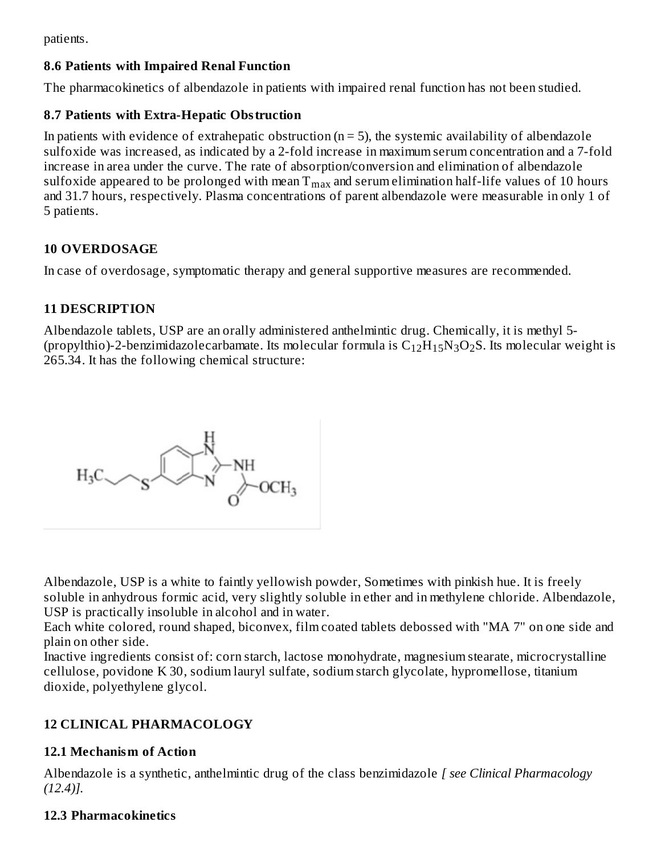patients.

### **8.6 Patients with Impaired Renal Function**

The pharmacokinetics of albendazole in patients with impaired renal function has not been studied.

#### **8.7 Patients with Extra-Hepatic Obstruction**

In patients with evidence of extrahepatic obstruction  $(n = 5)$ , the systemic availability of albendazole sulfoxide was increased, as indicated by a 2-fold increase in maximum serum concentration and a 7-fold increase in area under the curve. The rate of absorption/conversion and elimination of albendazole sulfoxide appeared to be prolonged with mean  $\rm T_{max}$  and serum elimination half-life values of 10 hours and 31.7 hours, respectively. Plasma concentrations of parent albendazole were measurable in only 1 of 5 patients.

### **10 OVERDOSAGE**

In case of overdosage, symptomatic therapy and general supportive measures are recommended.

### **11 DESCRIPTION**

Albendazole tablets, USP are an orally administered anthelmintic drug. Chemically, it is methyl 5- (propylthio)-2-benzimidazolecarbamate. Its molecular formula is  $\rm{C_{12}H_{15}N_{3}O_2S}$ . Its molecular weight is 265.34. It has the following chemical structure:

$$
H_3C \diagdown_S \overbrace{\bigotimes_N \overset{H}{\underset{O}{\bigvee}} N}^{N} \underset{O}{\xrightarrow{\text{NH}}}
$$

Albendazole, USP is a white to faintly yellowish powder, Sometimes with pinkish hue. It is freely soluble in anhydrous formic acid, very slightly soluble in ether and in methylene chloride. Albendazole, USP is practically insoluble in alcohol and in water.

Each white colored, round shaped, biconvex, film coated tablets debossed with "MA 7" on one side and plain on other side.

Inactive ingredients consist of: corn starch, lactose monohydrate, magnesium stearate, microcrystalline cellulose, povidone K 30, sodium lauryl sulfate, sodium starch glycolate, hypromellose, titanium dioxide, polyethylene glycol.

### **12 CLINICAL PHARMACOLOGY**

### **12.1 Mechanism of Action**

Albendazole is a synthetic, anthelmintic drug of the class benzimidazole *[ see Clinical Pharmacology (12.4)].*

### **12.3 Pharmacokinetics**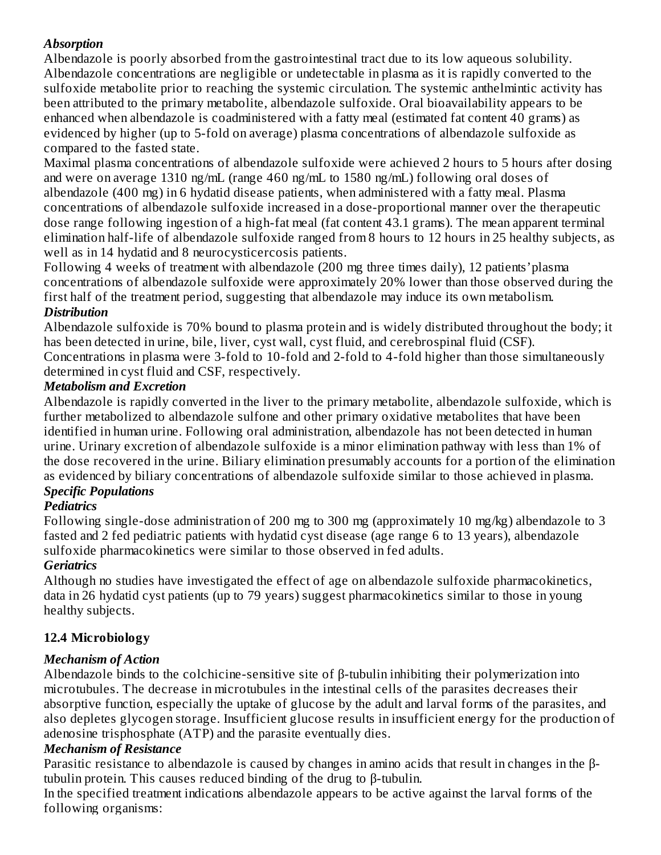### *Absorption*

Albendazole is poorly absorbed from the gastrointestinal tract due to its low aqueous solubility. Albendazole concentrations are negligible or undetectable in plasma as it is rapidly converted to the sulfoxide metabolite prior to reaching the systemic circulation. The systemic anthelmintic activity has been attributed to the primary metabolite, albendazole sulfoxide. Oral bioavailability appears to be enhanced when albendazole is coadministered with a fatty meal (estimated fat content 40 grams) as evidenced by higher (up to 5-fold on average) plasma concentrations of albendazole sulfoxide as compared to the fasted state.

Maximal plasma concentrations of albendazole sulfoxide were achieved 2 hours to 5 hours after dosing and were on average 1310 ng/mL (range 460 ng/mL to 1580 ng/mL) following oral doses of albendazole (400 mg) in 6 hydatid disease patients, when administered with a fatty meal. Plasma concentrations of albendazole sulfoxide increased in a dose-proportional manner over the therapeutic dose range following ingestion of a high-fat meal (fat content 43.1 grams). The mean apparent terminal elimination half-life of albendazole sulfoxide ranged from 8 hours to 12 hours in 25 healthy subjects, as well as in 14 hydatid and 8 neurocysticercosis patients.

Following 4 weeks of treatment with albendazole (200 mg three times daily), 12 patients'plasma concentrations of albendazole sulfoxide were approximately 20% lower than those observed during the first half of the treatment period, suggesting that albendazole may induce its own metabolism.

## *Distribution*

Albendazole sulfoxide is 70% bound to plasma protein and is widely distributed throughout the body; it has been detected in urine, bile, liver, cyst wall, cyst fluid, and cerebrospinal fluid (CSF). Concentrations in plasma were 3-fold to 10-fold and 2-fold to 4-fold higher than those simultaneously determined in cyst fluid and CSF, respectively.

### *Metabolism and Excretion*

Albendazole is rapidly converted in the liver to the primary metabolite, albendazole sulfoxide, which is further metabolized to albendazole sulfone and other primary oxidative metabolites that have been identified in human urine. Following oral administration, albendazole has not been detected in human urine. Urinary excretion of albendazole sulfoxide is a minor elimination pathway with less than 1% of the dose recovered in the urine. Biliary elimination presumably accounts for a portion of the elimination as evidenced by biliary concentrations of albendazole sulfoxide similar to those achieved in plasma.

## *Specific Populations*

## *Pediatrics*

Following single-dose administration of 200 mg to 300 mg (approximately 10 mg/kg) albendazole to 3 fasted and 2 fed pediatric patients with hydatid cyst disease (age range 6 to 13 years), albendazole sulfoxide pharmacokinetics were similar to those observed in fed adults.

## *Geriatrics*

Although no studies have investigated the effect of age on albendazole sulfoxide pharmacokinetics, data in 26 hydatid cyst patients (up to 79 years) suggest pharmacokinetics similar to those in young healthy subjects.

## **12.4 Microbiology**

### *Mechanism of Action*

Albendazole binds to the colchicine-sensitive site of β-tubulin inhibiting their polymerization into microtubules. The decrease in microtubules in the intestinal cells of the parasites decreases their absorptive function, especially the uptake of glucose by the adult and larval forms of the parasites, and also depletes glycogen storage. Insufficient glucose results in insufficient energy for the production of adenosine trisphosphate (ATP) and the parasite eventually dies.

### *Mechanism of Resistance*

Parasitic resistance to albendazole is caused by changes in amino acids that result in changes in the βtubulin protein. This causes reduced binding of the drug to β-tubulin.

In the specified treatment indications albendazole appears to be active against the larval forms of the following organisms: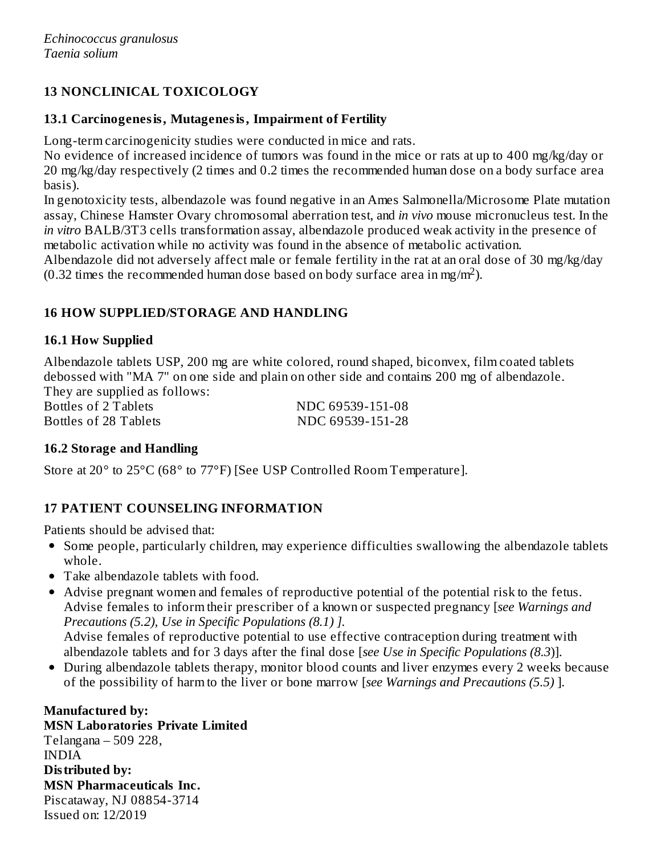## **13 NONCLINICAL TOXICOLOGY**

### **13.1 Carcinogenesis, Mutagenesis, Impairment of Fertility**

Long-term carcinogenicity studies were conducted in mice and rats.

No evidence of increased incidence of tumors was found in the mice or rats at up to 400 mg/kg/day or 20 mg/kg/day respectively (2 times and 0.2 times the recommended human dose on a body surface area basis).

In genotoxicity tests, albendazole was found negative in an Ames Salmonella/Microsome Plate mutation assay, Chinese Hamster Ovary chromosomal aberration test, and *in vivo* mouse micronucleus test. In the *in vitro* BALB/3T3 cells transformation assay, albendazole produced weak activity in the presence of metabolic activation while no activity was found in the absence of metabolic activation.

Albendazole did not adversely affect male or female fertility in the rat at an oral dose of 30 mg/kg/day (0.32 times the recommended human dose based on body surface area in mg/m<sup>2</sup>).

### **16 HOW SUPPLIED/STORAGE AND HANDLING**

### **16.1 How Supplied**

Albendazole tablets USP, 200 mg are white colored, round shaped, biconvex, film coated tablets debossed with "MA 7" on one side and plain on other side and contains 200 mg of albendazole. They are supplied as follows:

Bottles of 2 Tablets NDC 69539-151-08

Bottles of 28 Tablets NDC 69539-151-28

### **16.2 Storage and Handling**

Store at 20° to 25°C (68° to 77°F) [See USP Controlled Room Temperature].

## **17 PATIENT COUNSELING INFORMATION**

Patients should be advised that:

- Some people, particularly children, may experience difficulties swallowing the albendazole tablets whole.
- Take albendazole tablets with food.
- Advise pregnant women and females of reproductive potential of the potential risk to the fetus. Advise females to inform their prescriber of a known or suspected pregnancy [*see Warnings and Precautions (5.2), Use in Specific Populations (8.1) ].* Advise females of reproductive potential to use effective contraception during treatment with albendazole tablets and for 3 days after the final dose [*see Use in Specific Populations (8.3*)].
- During albendazole tablets therapy, monitor blood counts and liver enzymes every 2 weeks because of the possibility of harm to the liver or bone marrow [*see Warnings and Precautions (5.5)* ].

**Manufactured by: MSN Laboratories Private Limited** Telangana – 509 228, INDIA **Distributed by: MSN Pharmaceuticals Inc.** Piscataway, NJ 08854-3714 Issued on: 12/2019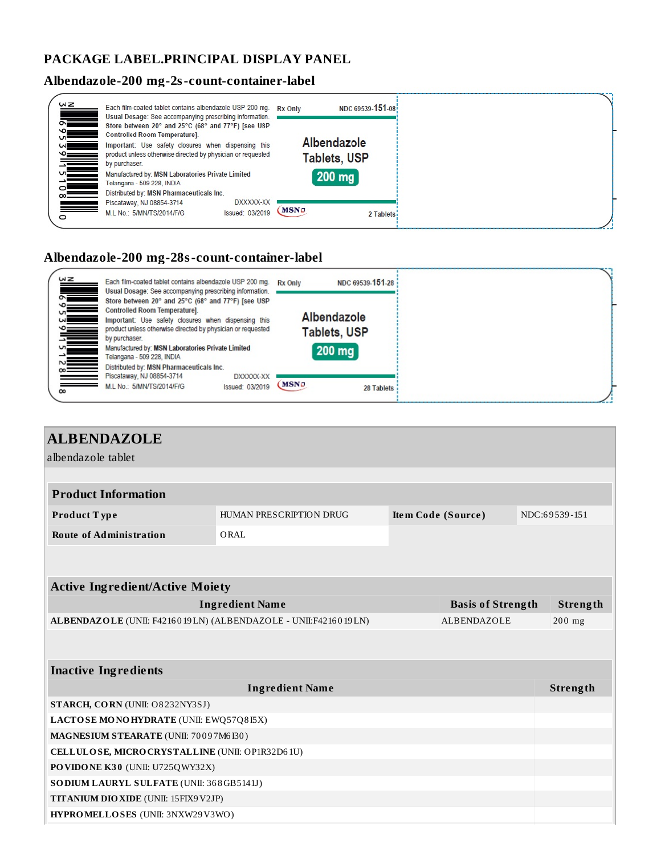### **PACKAGE LABEL.PRINCIPAL DISPLAY PANEL**

# **Albendazole-200 mg-2s-count-container-label**

| WZ<br>$\frac{1}{2}$                                                                                                            |          | Each film-coated tablet contains albendazole USP 200 mg. Rx Only<br>Usual Dosage: See accompanying prescribing information.         |                              |             | NDC 69539-151-08                   |
|--------------------------------------------------------------------------------------------------------------------------------|----------|-------------------------------------------------------------------------------------------------------------------------------------|------------------------------|-------------|------------------------------------|
| $\circ$ $\qquad$                                                                                                               |          | Store between 20° and 25°C (68° and 77°F) [see USP<br>Controlled Room Temperature].                                                 |                              |             |                                    |
| $\frac{1}{\sqrt{2}}$                                                                                                           |          | Important: Use safety closures when dispensing this<br>product unless otherwise directed by physician or requested<br>by purchaser. |                              |             | Albendazole<br><b>Tablets, USP</b> |
| $\frac{1}{\infty}$                                                                                                             | $\equiv$ | Manufactured by: MSN Laboratories Private Limited<br>Telangana - 509 228, INDIA<br>Distributed by: MSN Pharmaceuticals Inc.         |                              |             | $200$ mg                           |
| in 1991.<br>Separate provided and the second series of the second series of the second series of the second series of the<br>o |          | Piscataway, NJ 08854-3714<br>M.L No.: 5/MN/TS/2014/F/G                                                                              | DXXXXX-XX<br>Issued: 03/2019 | <b>MSNo</b> | 2 Tablets                          |

### **Albendazole-200 mg-28s-count-container-label**

| $\frac{d}{d}$ | Each film-coated tablet contains albendazole USP 200 mg. Rx Only<br>Usual Dosage: See accompanying prescribing information.                                                                               |             | NDC 69539-151-28              |
|---------------|-----------------------------------------------------------------------------------------------------------------------------------------------------------------------------------------------------------|-------------|-------------------------------|
|               | Store between 20° and 25°C (68° and 77°F) [see USP<br>Controlled Room Temperature].<br>Important: Use safety closures when dispensing this<br>product unless otherwise directed by physician or requested |             | Albendazole                   |
|               | by purchaser.<br>Manufactured by: MSN Laboratories Private Limited<br>Telangana - 509 228, INDIA                                                                                                          |             | <b>Tablets, USP</b><br>200 mg |
| $\infty$      | Distributed by: MSN Pharmaceuticals Inc.<br>Piscataway, NJ 08854-3714<br>DXXXXX-XX<br>M.L No.: 5/MN/TS/2014/F/G<br>Issued: 03/2019                                                                        | <b>MSNo</b> | 28 Tablets                    |

| <b>ALBENDAZOLE</b>                                                                   |                                                                |  |                          |  |                 |  |  |
|--------------------------------------------------------------------------------------|----------------------------------------------------------------|--|--------------------------|--|-----------------|--|--|
| albendazole tablet                                                                   |                                                                |  |                          |  |                 |  |  |
|                                                                                      |                                                                |  |                          |  |                 |  |  |
| <b>Product Information</b>                                                           |                                                                |  |                          |  |                 |  |  |
| Product Type                                                                         | HUMAN PRESCRIPTION DRUG<br>Item Code (Source)<br>NDC:69539-151 |  |                          |  |                 |  |  |
| <b>Route of Administration</b>                                                       | ORAL                                                           |  |                          |  |                 |  |  |
|                                                                                      |                                                                |  |                          |  |                 |  |  |
|                                                                                      |                                                                |  |                          |  |                 |  |  |
| <b>Active Ingredient/Active Moiety</b>                                               |                                                                |  |                          |  |                 |  |  |
|                                                                                      | <b>Ingredient Name</b>                                         |  | <b>Basis of Strength</b> |  | Strength        |  |  |
| ALBENDAZOLE (UNII: F4216019LN) (ALBENDAZOLE - UNII:F4216019LN)<br><b>ALBENDAZOLE</b> |                                                                |  |                          |  |                 |  |  |
|                                                                                      |                                                                |  |                          |  |                 |  |  |
| <b>Inactive Ingredients</b>                                                          |                                                                |  |                          |  |                 |  |  |
|                                                                                      | <b>Ingredient Name</b>                                         |  |                          |  | <b>Strength</b> |  |  |
| STARCH, CORN (UNII: O8232NY3SJ)                                                      |                                                                |  |                          |  |                 |  |  |
| LACTOSE MONOHYDRATE (UNII: EWQ57Q8I5X)                                               |                                                                |  |                          |  |                 |  |  |
| MAGNESIUM STEARATE (UNII: 70097M6I30)                                                |                                                                |  |                          |  |                 |  |  |
| CELLULOSE, MICRO CRYSTALLINE (UNII: OP1R32D61U)                                      |                                                                |  |                          |  |                 |  |  |
| PO VIDO NE K30 (UNII: U725QWY32X)                                                    |                                                                |  |                          |  |                 |  |  |
| SO DIUM LAURYL SULFATE (UNII: 368GB5141J)                                            |                                                                |  |                          |  |                 |  |  |
| TITANIUM DIO XIDE (UNII: 15FIX9V2JP)                                                 |                                                                |  |                          |  |                 |  |  |
| HYPROMELLOSES (UNII: 3NXW29V3WO)                                                     |                                                                |  |                          |  |                 |  |  |
|                                                                                      |                                                                |  |                          |  |                 |  |  |